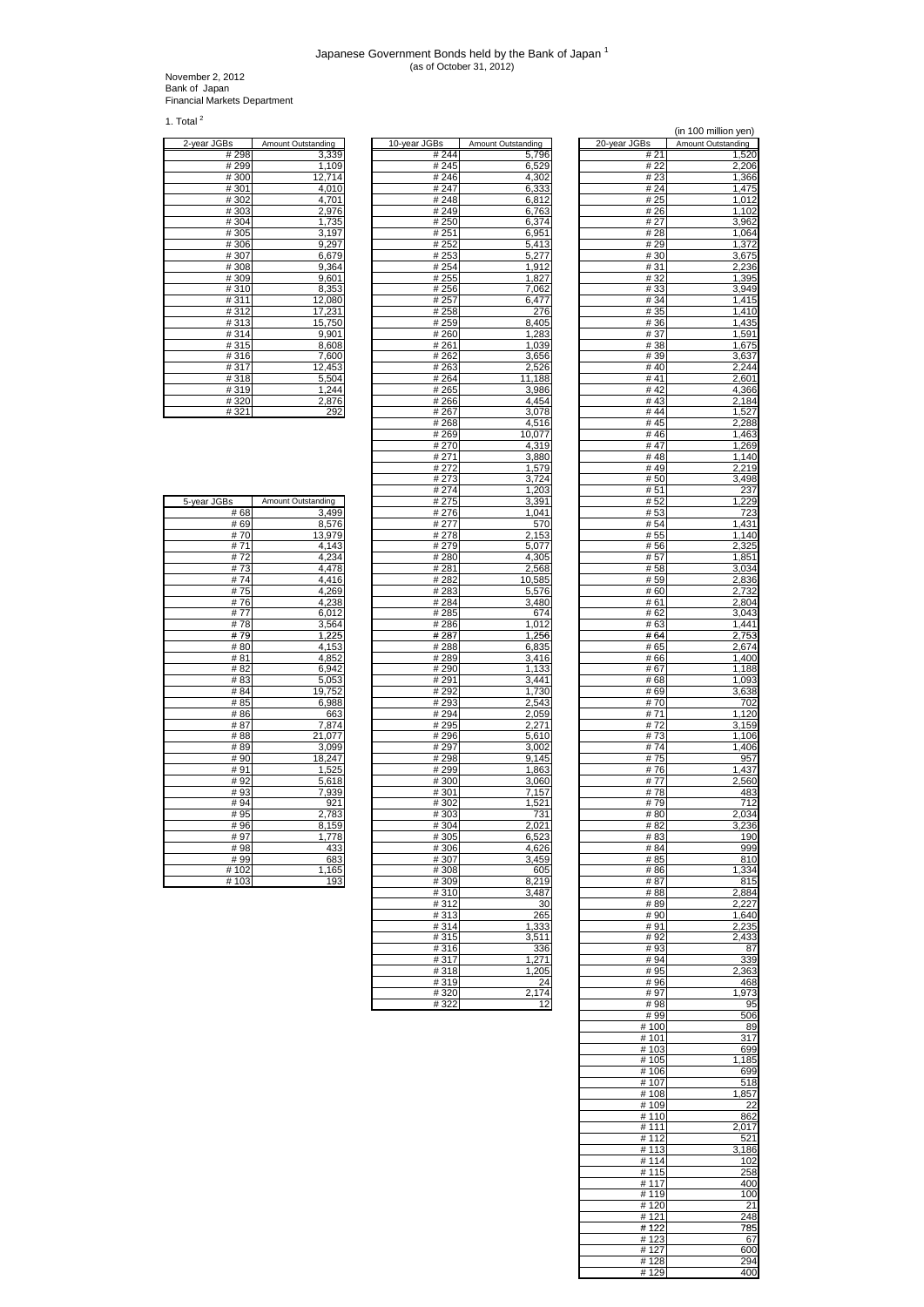## Japanese Government Bonds held by the Bank of Japan <sup>1</sup> (as of October 31, 2012)

November 2, 2012 Bank of Japan Financial Markets Department

1. Total  $^2$ 

| 2-year JGBs | Amount Outstanding |
|-------------|--------------------|
| #298        | 3,339              |
| #299        | 1,109              |
| #300        | 12,714             |
| #301        | 4,010              |
| #302        | 4,701              |
| #303        | 2,976              |
| #304        | 1,735              |
| #305        | 3,197              |
| #306        | 9,297              |
| #307        | 6,679              |
| #308        | 9,364              |
| #309        | 9,601              |
| #310        | 8,353              |
| #311        | 12,080             |
| #312        | 17,231             |
| #313        | 15,750             |
| #314        | 9,901              |
| #315        | 8,608              |
| #316        | 7,600              |
| #317        | 12,453             |
| #318        | 5,504              |
| #319        | 1,244              |
| #320        | 2,876              |
|             |                    |

| <u>2-year JGBs</u> | <b>Amount Outstanding</b> | <u>10-year JGBs</u> | <b>Amount Outstanding</b> | <u>20-year JGBs</u> | Amount Outstanding |
|--------------------|---------------------------|---------------------|---------------------------|---------------------|--------------------|
| # 298              | 3,339                     | # 244               | 5,796                     | # 21                | 1,520              |
| #299               |                           | #245                | 6,529                     | # 22                |                    |
|                    | 1,109                     |                     |                           |                     | 2,206              |
| #300               | 12,714                    | #246                | 4,302                     | # 23                | 1,366              |
| #301               | 4,010                     | #247                | 6,333                     | # 24                | 1,475              |
| #302               | 4,701                     | #248                | 6,812                     | # 25                | 1,012              |
| #303               | 2,976                     | #249                | 6,763                     | # 26                | 1,102              |
| #304               | 1,735                     | #250                | 6,374                     | # 27                | 3,962              |
| #305               | 3,197                     | # 251               | 6,951                     | # 28                | 1,064              |
| #306               | 9,297                     | # 252               | 5,413                     | # 29                | 1,372              |
| #307               | 6,679                     | # 253               | 5,277                     | # 30                | 3,675              |
|                    |                           |                     | 1,912                     | # 31                |                    |
| #308               | 9,364                     | # 254               |                           |                     | 2,236              |
| #309               | 9,601                     | # 255               | 1,827                     | # 32                | 1,395              |
| #310               | 8,353                     | #256                | 7,062                     | # 33                | 3,949              |
| #311               | 12,080                    | # 257               | 6,477                     | # 34                | 1,415              |
| #312               | 17,231                    | #258                | 276                       | # 35                | 1,410              |
| #313               | 15,750                    | # 259               | 8,405                     | #36                 | 1,435              |
| #314               | 9,901                     | #260                | 1,283                     | # 37                | 1,591              |
| #315               | 8,608                     | #261                | 1,039                     | #38                 | 1,675              |
| #316               | 7,600                     | # 262               | 3,656                     | # 39                | 3,637              |
| #317               | 12,453                    | #263                | 2,526                     | #40                 | 2,244              |
|                    |                           |                     |                           |                     |                    |
| #318               | 5,504                     | #264                | 11,188                    | #41                 | 2,601              |
| #319               | 1,244                     | #265                | 3,986                     | #42                 | 4,366              |
| #320               | 2,876                     | #266                | 4,454                     | #43                 | 2,184              |
| #321               | 292                       | #267                | 3,078                     | #44                 | 1,527              |
|                    |                           | #268                | 4,516                     | #45                 | 2,288              |
|                    |                           | #269                | 10,077                    | #46                 | 1,463              |
|                    |                           | #270                | 4,319                     | #47                 | 1,269              |
|                    |                           | # 271               | 3,880                     | #48                 | 1,140              |
|                    |                           | # 272               | 1,579                     | #49                 | 2,219              |
|                    |                           |                     |                           |                     |                    |
|                    |                           | #273                | 3,724                     | #50                 | 3,498              |
|                    |                           | #274                | 1,203                     | #51                 | 237                |
| 5-year JGBs        | Amount Outstanding        | # 275               | 3,391                     | # 52                | 1,229              |
| # 68               | 3,499                     | # 276               | 1,041                     | # 53                | 723                |
| # 69               | 8,576                     | # 277               | 570                       | # 54                | 1,431              |
| #70                | 13,979                    | # 278               | 2,153                     | # 55                | 1,140              |
| #71                | 4,143                     | #279                | 5,077                     | #56                 | 2,325              |
| #72                | 4,234                     | #280                | 4.305                     | # 57                | 1,851              |
| #73                | 4,478                     | #281                | 2,568                     | # 58                | 3,034              |
| #74                | 4,416                     | # 282               |                           | # 59                |                    |
| #75                | 4,269                     | #283                | 10,585                    | # 60                | 2,836<br>2,732     |
|                    |                           |                     | 5,576                     |                     |                    |
| #76                | 4,238                     | #284                | 3,480                     | # 61                | 2,804              |
| #77                | 6,012                     | #285                | 674                       | # 62                | 3,043              |
| #78                | 3,564                     | #286                | 1,012                     | # 63                | 1,441              |
| #79                | 1,225                     | # 287               | 1,256                     | # 64                | 2,753              |
| #80                | 4,153                     | #288                | 6,835                     | # 65                | 2,674              |
| #81                | 4,852                     | # 289               | 3,416                     | # 66                | 1,400              |
| # 82               | 6,942                     | #290                | 1,133                     | # 67                | 1,188              |
| # 83               | 5,053                     | #291                | 3,441                     | # 68                | 1,093              |
| # 84               | 19,752                    | # 292               | 1,730                     | # 69                | 3,638              |
|                    |                           |                     |                           |                     |                    |
| # 85               | 6,988                     | #293                | 2,543                     | #70                 | 702                |
| #86                | 663                       | #294                | 2,059                     | #71                 | 1,120              |
| #87                | 7,874                     | # 295               | 2,271                     | #72                 | 3,159              |
| #88                | 21,077                    | #296                | 5,610                     | #73                 | 1,106              |
| #89                | 3,099                     | #297                | 3,002                     | #74                 | 1,406              |
| #90                | 18,247                    | #298                | 9,145                     | #75                 | 957                |
| #91                | 1,525                     | #299                | 1,863                     | #76                 | 1,437              |
| #92                | 5,618                     | #300                | 3,060                     | #77                 | 2,560              |
| #93                | 7,939                     | #301                | 7,157                     | #78                 | 483                |
| #94                | 921                       | #302                | 1,521                     | #79                 | 712                |
| # 95               | 2,783                     | #303                | 731                       | #80                 | 2,034              |
| #96                | 8,159                     | #304                | 2.021                     | #82                 | 3,236              |
| #97                |                           |                     | 6,523                     | #83                 |                    |
|                    | 1,778                     | #305                |                           |                     | 190                |
| #98                | 433                       | #306                | 4,626                     | # 84                | 999                |
| #99                | 683                       | #307                | 3,459                     | # 85                | 810                |
| #102               | 1,165                     | #308                | 605                       | #86                 | 1,334              |
| #103               | 193                       | #309                | 8,219                     | #87                 | 815                |
|                    |                           | #310                | 3,487                     | #88                 | 2,884              |
|                    |                           | #312                | 30                        | #89                 | 2,227              |
|                    |                           | #313                | 265                       | #90                 | 1,640              |
|                    |                           | #314                | 1,333                     | #91                 | 2,235              |
|                    |                           | #315                | 3,511                     | #92                 | 2,433              |
|                    |                           | #316                | 336                       | #93                 | 87                 |
|                    |                           | #317                | 1,271                     | #94                 | 339                |
|                    |                           |                     |                           |                     |                    |
|                    |                           | #318                | 1,205                     | #95                 | 2,363              |
|                    |                           | #319                | 24                        | #96                 | 468                |
|                    |                           | #320                | 2,174                     | #97                 | 1,973              |
|                    |                           | #322                | 12                        | #98                 | 95                 |
|                    |                           |                     |                           | #99                 | 506                |

|                |                           |                           | (in 100 million yen) |
|----------------|---------------------------|---------------------------|----------------------|
| Bs             | <b>Amount Outstanding</b> | <u>20-year JGBs</u>       | Amount Outstanding   |
| # 244<br># 245 | 5,796<br>6,529            | # 21<br># 22              | 1,520<br>2,206       |
| # 246          | 4,302                     | #23                       | 1,366                |
| # 247          | 6,333                     | # 24                      | 1,475                |
| #248           | 6,812                     | # 25                      | 1,012                |
| #249           | 6,763                     | # 26                      | 1,102                |
| # 250          | 6,374                     | #27                       | 3,962                |
| # 251<br># 252 | 6,951<br>5,413            | #28<br># 29               | 1,064<br>1,372       |
| # 253          | 5,277                     | #30                       | 3,675                |
| # 254          | 1,912                     | #31                       | 2,236                |
| # 255          | 1,827                     | # 32                      | 1,395                |
| #256           | 7,062                     | #33                       | 3,949                |
| # 257          | 6,477                     | # 34                      | 1,415                |
| #258<br>#259   | 276<br>8,405              | # 35<br>#36               | 1,410<br>1,435       |
| #260           | 1,283                     | #37                       | 1,591                |
| #261           | 1,039                     | #38                       | 1,675                |
| #262           | 3,656                     | #39                       | 3,637                |
| #263           | 2,526                     | #40                       | 2,244                |
| #264           | 11,188                    | #41                       | 2,601                |
| #265<br>#266   | 3,986<br>4,454            | #42<br>#43                | 4,366<br>2,184       |
| #267           | 3,078                     | #44                       | 1,527                |
| #268           | 4,516                     | #45                       | 2,288                |
| #269           | 10,077                    | #46                       | 1,463                |
| #270           | 4,319                     | #47                       | 1,269                |
| # 271          | 3,880                     | #48                       | 1,140                |
| #272<br>#273   | 1,579<br>3,724            | #49<br>#50                | 2,219<br>3,498       |
| #274           | 1,203                     | #51                       | 237                  |
| # 275          | 3,391                     | #52                       | 1,229                |
| # 276          | 1,041                     | # 53                      | 723                  |
| # 277          | 570                       | # 54                      | 1,431                |
| #278           | 2,153                     | # 55                      | 1,140                |
| # 279<br>#280  | 5,077<br>4,305            | #56<br># 57               | 2,325<br>1,851       |
| # 281          | 2,568                     | # 58                      | 3,034                |
| # 282          | 10,585                    | # 59                      | 2,836                |
| #283           | 5,576                     | #60                       | 2,732                |
| #284           | 3,480                     | # 61                      | 2,804                |
| #285           | 674                       | # 62                      | 3,043                |
| # 286<br># 287 | 1,012<br>1,256            | # 63<br># 64              | 1,441<br>2,753       |
| #288           | 6,835                     | # 65                      | 2,674                |
| #289           | 3,416                     | # 66                      | 1,400                |
| #290           | 1,133                     | #67                       | 1,188                |
| # 291          | 3,441                     | # 68                      | 1,093                |
| # 292<br>#293  | 1,730<br>2,543            | # 69<br>#70               | 3,638<br>702         |
| #294           | 2,059                     | #71                       | 1,120                |
| # 295          | 2,271                     | #72                       | 3,159                |
| # 296          | 5,610                     | #73                       | 1,106                |
| #297           | 3,002                     | #74                       | 1,406                |
| #298           | 9,145                     | #75                       | 957                  |
| #299<br>#300   | 1,863<br>3,060            | #76<br>#77                | 1,437<br>2,560       |
| #301           | 7,157                     | #78                       | 483                  |
| #302           | 1,521                     | #79                       | 712                  |
| #303           | 731                       | #80                       | 2,034                |
| # 304          |                           | # 82                      | 3,236                |
| #305           | 6,523                     | #83                       | 190                  |
| #306<br>#307   | 4,626<br>3,459            | # 84<br># 85              | 999<br>810           |
| #308           | 605                       | #86                       | 1,334                |
| #309           | 8,219                     | # 87                      | 815                  |
| #310           | 3,487                     | #88                       | 2,884                |
| #312           | 30                        | #89                       | 2,227                |
| #313           | 265                       | #90<br>#91                | 1,640<br>2,235       |
| #314<br>#315   | 1,333<br>3,511            | #92                       | 2,433                |
| #316           | 336                       | #93                       | 87                   |
| #317           | 1,271                     | #94                       | 339                  |
| #318           | 1,205                     | #95                       | 2,363                |
| #319           | 24                        | #96                       | 468                  |
| #320<br>#322   | 2,174<br>12               | #97<br>#98                | 1,973<br>95          |
|                |                           | #99                       | 506                  |
|                |                           | #100                      | 89                   |
|                |                           | #101                      | 317                  |
|                |                           | #103                      | 699                  |
|                |                           | #105<br>#106              | 1,185<br>699         |
|                |                           | # 107                     | 518                  |
|                |                           | #108                      | 1,857                |
|                |                           | #109                      | 22                   |
|                |                           | #110                      | 862                  |
|                |                           | #111<br>$\frac{1}{4}$ 112 | 2,017                |
|                |                           | #113                      | 521<br>3,186         |
|                |                           | #114                      | 102                  |
|                |                           | #115                      | 258                  |
|                |                           | # 117                     | 400                  |
|                |                           | #119                      | 100                  |
|                |                           | #120<br>#121              | 21<br>248            |
|                |                           | # 122                     | 785                  |
|                |                           | #123                      | 67                   |
|                |                           | # 127                     | 600                  |
|                |                           | #128                      | 294                  |
|                |                           | # 129                     | 400                  |

|     | 1.19119                                     |      |
|-----|---------------------------------------------|------|
|     | 3,499                                       | #68  |
|     | 8,576                                       | # 69 |
|     | 13,979                                      | #70  |
|     | 4,143                                       | # 71 |
|     | 4,234                                       | #72  |
|     |                                             | #73  |
|     |                                             | # 74 |
|     |                                             | # 75 |
|     | $\frac{4,478}{4,416}$ $\frac{4,269}{4,238}$ | #76  |
|     | 6,012                                       | #77  |
|     | $3,564$<br>$1,225$                          | #78  |
|     |                                             | # 79 |
|     | 4,153                                       | #80  |
|     | 4,852                                       | # 81 |
|     | 6,942                                       | # 82 |
|     | $\frac{5,053}{19,752}$                      | #83  |
|     |                                             | # 84 |
|     | 6,988                                       | # 85 |
| 663 |                                             | #86  |
|     | 7,874                                       | #87  |
|     | 21,077                                      | #88  |
|     | 3,099                                       | #89  |
|     | 18,247                                      | #90  |
|     | 1,525                                       | #91  |
|     | 5,618                                       | #92  |
|     | 7,939                                       | #93  |
|     | 921                                         | #94  |
|     | 2,783                                       | #95  |
|     | 8,159                                       | #96  |
|     | 1,778                                       | #97  |
| 433 |                                             | #98  |
| 683 |                                             | #99  |
|     |                                             |      |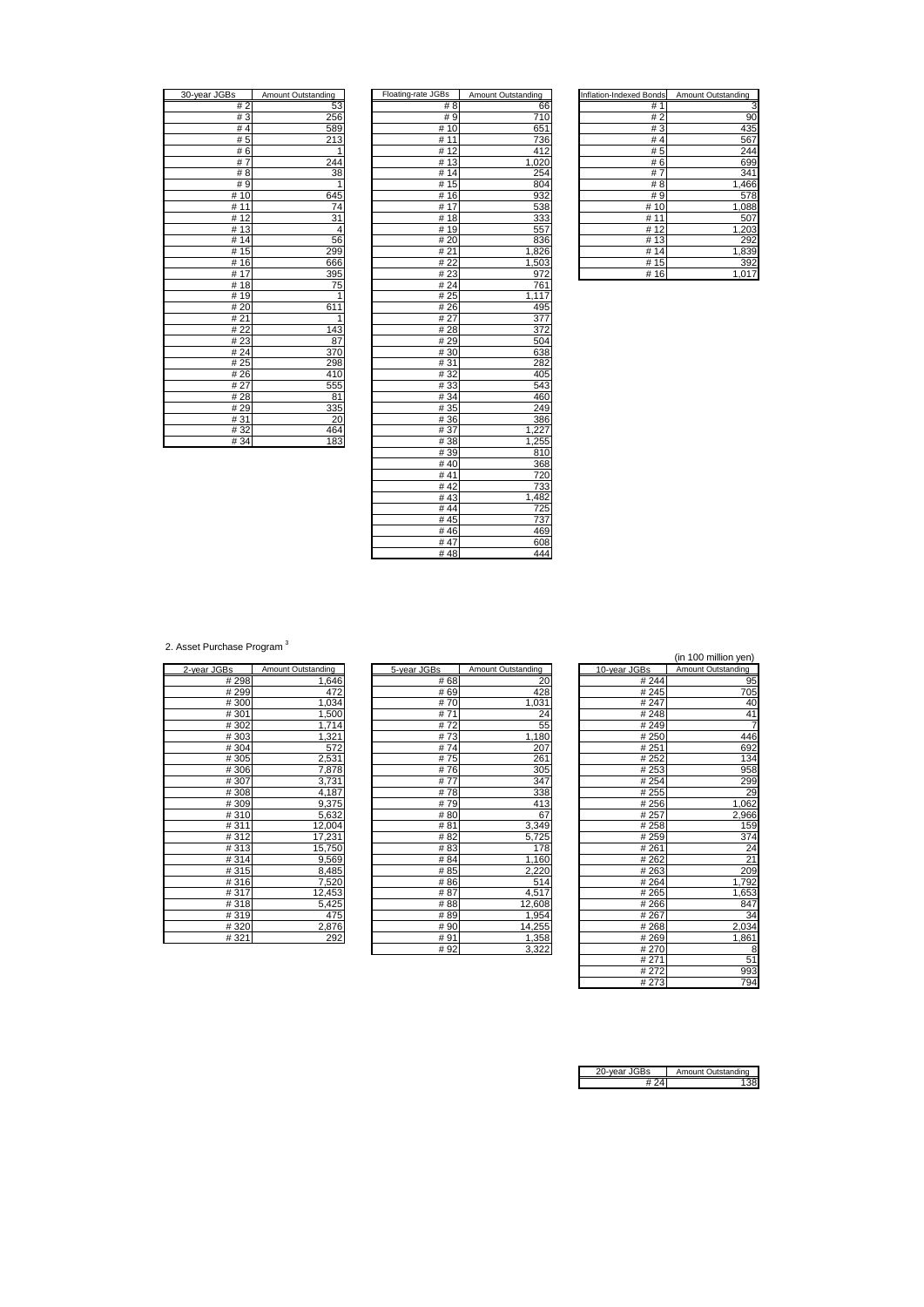| 30-year JGBs        | Amount Outstanding      |
|---------------------|-------------------------|
| #2                  | 53                      |
| #3                  | 256                     |
| #4                  | 589                     |
| #5                  | 213                     |
| #6                  |                         |
| $\overline{7}$<br># | 244                     |
| # 8                 | 38                      |
| #9                  | 1                       |
| #10                 | 645                     |
| # 11                | 74                      |
| 12<br>#             | $\overline{31}$         |
| #13                 | 4                       |
| # 14                | 56                      |
| 15<br>#             | 299                     |
| #16                 | 666                     |
| 17<br>#             | 395                     |
| #18                 | 75                      |
| # 19                | $\overline{\mathbf{1}}$ |
| # 20                | 611                     |
| # 21                | 1                       |
| # 22                | 143                     |
| #23                 | 87                      |
| #24                 | 370                     |
| # 25                | 298                     |
| # 26                | 410                     |
| # 27                | 555                     |
| #28                 | 81                      |
| #29                 | 335                     |
| #31                 | 20                      |
| #32                 | 464                     |
| # 34                | 183                     |

| 30-year JGBs | Amount Outstanding | Floating-rate JGBs | Amount Outstanding | <b>Inflation-Indexed Bonds</b> | Amount Outstanding |
|--------------|--------------------|--------------------|--------------------|--------------------------------|--------------------|
| #2           | 53                 | #8                 | 66                 | #1                             | 3                  |
| #3           | 256                | #9                 | 710                | #2                             | 90                 |
| #4           | 589                | #10                | 651                | #3                             | 435                |
| #5           | 213                | #11                | 736                | #4                             | 567                |
| #6           | 1                  | #12                | 412                | #5                             | 244                |
| #7           | 244                | #13                | 1,020              | #6                             | 699                |
| #8           | 38                 | #14                | 254                | #7                             | 341                |
| #9           | 1                  | #15                | 804                | # 8                            | 1,466              |
| # $10$       | 645                | #16                | 932                | #9                             | 578                |
| #11          | 74                 | #17                | 538                | #10                            | 1,088              |
| #12          | 31                 | #18                | 333                | #11                            | 507                |
| #13          | 4                  | #19                | 557                | #12                            | 1,203              |
| #14          | 56                 | #20                | 836                | #13                            | 292                |
| #15          | 299                | #21                | 1,826              | #14                            | 1,839              |
| #16          | 666                | #22                | 1,503              | #15                            | 392                |
| # $17$       | 395                | #23                | 972                | #16                            | 1,017              |
| #18          | 75                 | # 24               | 761                |                                |                    |
| #19          | 1                  | # 25               | 1,117              |                                |                    |
| #20          | 611                | #26                | 495                |                                |                    |
| #21          | 1                  | # 27               | 377                |                                |                    |
| #22          | 143                | #28                | 372                |                                |                    |
| #23          | 87                 | #29                | 504                |                                |                    |
| #24          | 370                | #30                | 638                |                                |                    |
| #25          | 298                | #31                | 282                |                                |                    |
| #26          | 410                | #32                | 405                |                                |                    |
| #27          | 555                | #33                | 543                |                                |                    |
| #28          | 81                 | #34                | 460                |                                |                    |
| #29          | 335                | #35                | 249                |                                |                    |
| #31          | 20                 | #36                | 386                |                                |                    |
| #32          | 464                | #37                | 1,227              |                                |                    |
| #34          | 183                | #38                | 1,255              |                                |                    |
|              |                    | #39                | 810                |                                |                    |
|              |                    | #40                | 368                |                                |                    |
|              |                    | #41                | 720                |                                |                    |
|              |                    | #42                | 733                |                                |                    |
|              |                    | #43                | 1,482              |                                |                    |
|              |                    | #44                | 725                |                                |                    |
|              |                    | #45                | 737                |                                |                    |
|              |                    | #46                | 469                |                                |                    |
|              |                    | #47                | 608                |                                |                    |
|              |                    | #48                | 444                |                                |                    |

| Inflation-Indexed Bonds | Amount Outstanding |
|-------------------------|--------------------|
| #<br>1                  | 3                  |
| #2                      | 90                 |
| #3                      | 435                |
| #4                      | 567                |
| # 5                     | 244                |
| 6<br>#                  | 699                |
| #<br>7                  | 341                |
| # 8                     | 1,466              |
| # 9                     | 578                |
| # $10$                  | 1,088              |
| #<br>11                 | 507                |
| #<br>12                 | 1,203              |
| 13<br>#                 | 292                |
| #14                     | 1,839              |
| # 15                    | 392                |
| #16                     | 1,01               |

2. Asset Purchase Program<sup>3</sup>

| 2-year JGBs | Amount Outstanding |
|-------------|--------------------|
| #298        | 1,646              |
| #299        | 472                |
| #300        | 1,034              |
| #301        | 1,500              |
| #302        | 1,714              |
| #303        | 1,321              |
| #304        | 572                |
| #305        | 2,531              |
| #306        | 7,878              |
| #307        | 3,731              |
| #308        | 4,187              |
| #309        | 9,375              |
| #310        | 5,632              |
| #311        | 12,004             |
| #312        | 17,231             |
| #313        | 15,750             |
| #314        | 9,569              |
| #315        | 8,485              |
| #316        | 7,520              |
| #317        | 12,453             |
| #318        | 5,425              |
| #319        | 475                |
| #320        | 2,876              |
| #321        | 292                |

| (in Too million yen) |              |                    |             |                    |             |
|----------------------|--------------|--------------------|-------------|--------------------|-------------|
| Amount Outstanding   | 10-year JGBs | Amount Outstanding | 5-year JGBs | Amount Outstanding | 2-year JGBs |
| 95                   | #244         | 20                 | #68         | 1,646              | #298        |
| 705                  | #245         | 428                | # 69        | 472                | #299        |
| 40                   | # 247        | 1,031              | #70         | 1,034              | #300        |
| 41                   | #248         | 24                 | #71         | 1,500              | #301        |
|                      | #249         | 55                 | #72         | 1,714              | #302        |
| 446                  | # 250        | 1,180              | #73         | 1,321              | #303        |
| 692                  | # 251        | 207                | #74         | 572                | #304        |
| 134                  | #252         | 261                | #75         | 2,531              | #305        |
| 958                  | # 253        | 305                | #76         | 7,878              | #306        |
| <b>299</b>           | # 254        | 347                | #77         | 3,731              | #307        |
| 2g                   | # 255        | 338                | #78         | 4,187              | #308        |
| 1,062                | #256         | 413                | #79         | 9,375              | #309        |
| 2,966                | # 257        | 67                 | #80         | 5,632              | #310        |
| 15 <sub>S</sub>      | #258         | 3,349              | #81         | 12,004             | #311        |
| 374                  | #259         | 5,725              | # 82        | 17,231             | #312        |
| 24                   | #261         | 178                | #83         | 15,750             | #313        |
| 21                   | # 262        | 1,160              | # 84        | 9,569              | #314        |
| 20 <sub>s</sub>      | #263         | 2,220              | # 85        | 8,485              | #315        |
| 1,792                | #264         | 514                | # 86        | 7,520              | #316        |
| 1,653                | #265         | 4,517              | #87         | 12,453             | #317        |
| 847                  | #266         | 12,608             | # 88        | 5,425              | #318        |
| 34                   | # 267        | 1,954              | #89         | 475                | #319        |
| 2,034                | #268         | 14,255             | #90         | 2,876              | #320        |
| 1,861                | #269         | 1,358              | #91         | 292                | #321        |
| Я                    | #270         | 3322               | # 92        |                    |             |

|      |                    |              | (in 100 million yen) |
|------|--------------------|--------------|----------------------|
| š    | Amount Outstanding | 10-year JGBs | Amount Outstanding   |
| # 68 | 20                 | # 244        | 95                   |
| # 69 | 428                | # 245        | 705                  |
| # 70 | 1,031              | #247         | 40                   |
| # 71 | 24                 | #248         | 41                   |
| # 72 | 55                 | #249         | 7                    |
| # 73 | 1,180              | #250         | 446                  |
| # 74 | 207                | #251         | 692                  |
| # 75 | 261                | # 252        | 134                  |
| # 76 | 305                | #253         | 958                  |
| # 77 | 347                | #254         | 299                  |
| # 78 | 338                | # 255        | 29                   |
| # 79 | 413                | #256         | 1,062                |
| # 80 | 67                 | # 257        | 2,966                |
| # 81 | 3,349              | #258         | 159                  |
| # 82 | 5,725              | #259         | 374                  |
| # 83 | 178                | #261         | 24                   |
| # 84 | 1,160              | # 262        | $\overline{21}$      |
| # 85 | 2,220              | #263         | 209                  |
| # 86 | 514                | #264         | 1,792                |
| # 87 | 4,517              | #265         | 1,653                |
| # 88 | 12,608             | #266         | 847                  |
| # 89 | 1,954              | #267         | 34                   |
| # 90 | 14,255             | #268         | 2,034                |
| # 91 | 1,358              | #269         | 1,861                |
| #92  | 3,322              | #270         | 8                    |
|      |                    | # 271        | 51                   |
|      |                    | # 272        | 993                  |
|      |                    | #273         | 794                  |

| 'ear JG⊧ | Amount Outstanding |
|----------|--------------------|
|          |                    |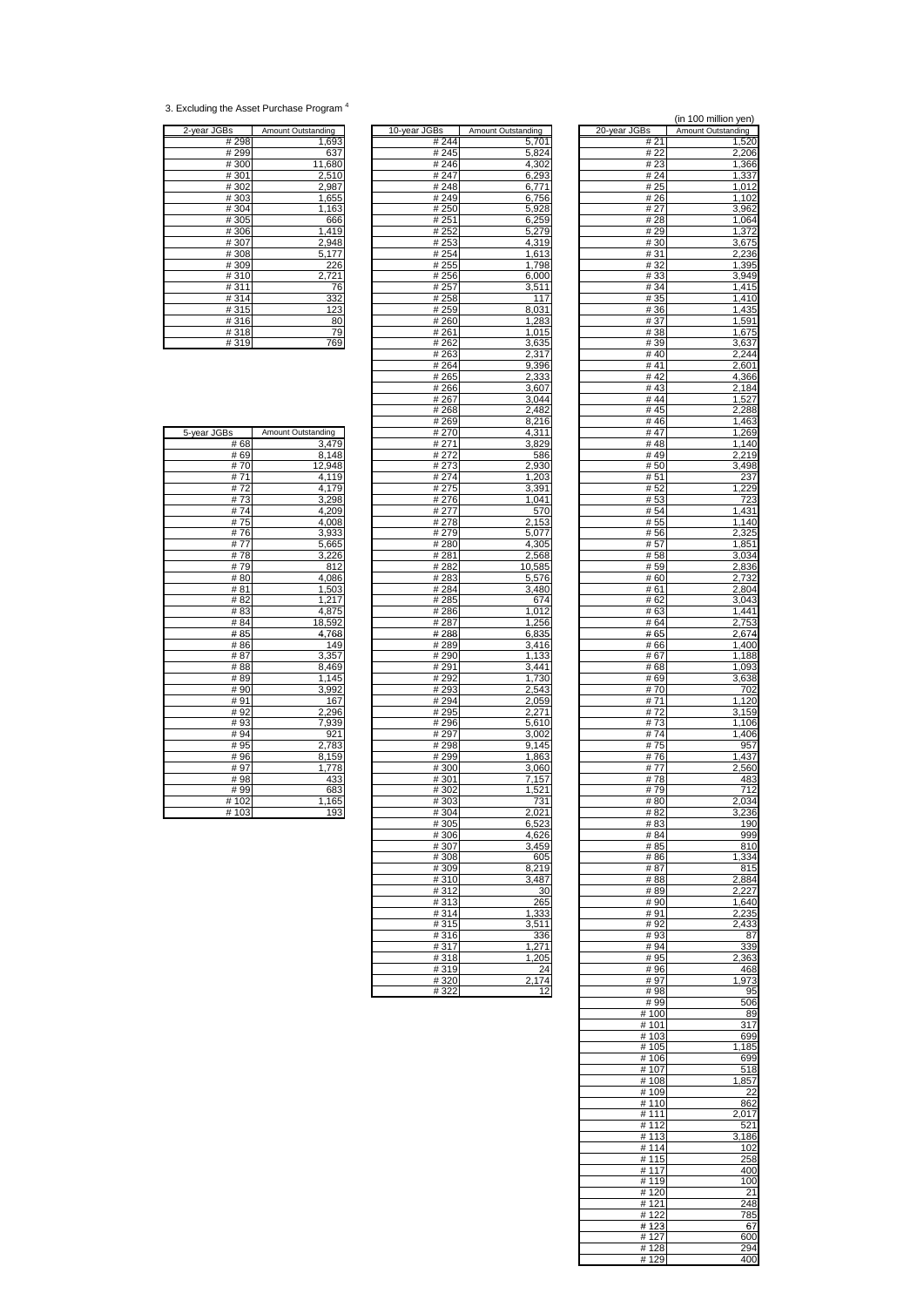<sup>3.</sup> Excluding the Asset Purchase Program 4

| 2-year JGBs | Amount Outstanding |
|-------------|--------------------|
| #298        | 1,693              |
| #299        | 637                |
| #300        | 11,680             |
| #301        | 2.510              |
| #302        | 2,987              |
| #303        | 1,655              |
| #304        | 1,163              |
| #305        | 666                |
| #306        | 1,419              |
| #307        | 2,948              |
| #308        | 5,177              |
| #309        | 226                |
| #310        | 2,721              |
| #311        | 76                 |
| #314        | 332                |
| #315        | 123                |
| #316        | 80                 |
| #318        | 79                 |
| #319        | 769                |

| 3s    | Amount Outstanding | 10-year JGBs      | <b>Amount Outstanding</b> | 20-year JGBs | Amount Outstanding |
|-------|--------------------|-------------------|---------------------------|--------------|--------------------|
| # 298 | 1,693              | # 244             | 5,701                     | # 21         | 1,520              |
| # 299 | 637                | # 245             | 5,824                     | # 22         | 2,206              |
| #300  | 11,680             | #246              | 4,302                     | # 23         | 1,366              |
| #301  | 2,510              | # 247             | 6,293                     | # 24         | 1,337              |
|       |                    |                   |                           |              |                    |
| #302  | 2,987              | #248              | 6,771                     | # 25         | 1,012              |
| # 303 | 1,655              | #249              | 6,756                     | # 26         | 1,102              |
| #304  | 1,163              | # 250             | 5,928                     | # 27         | 3,962              |
| #305  | 666                | #251              | 6,259                     | # 28         | 1,064              |
| #306  | 1,419              | # 252             | 5,279                     | # 29         | 1,372              |
| #307  | 2,948              | #253              | 4,319                     | # 30         | 3,675              |
| # 308 | 5,177              | # 254             | 1,613                     | # 31         | 2,236              |
| #309  | 226                | # 255             | 1,798                     | # 32         | 1,395              |
| #310  | 2,721              | #256              |                           | #33          | 3,949              |
|       |                    |                   | 6,000                     |              |                    |
| #311  | 76                 | #257              | 3,511                     | #34          | 1,415              |
| #314  | 332                | #258              | 117                       | # 35         | 1,410              |
| # 315 | 123                | # 259             | 8,031                     | # 36         | 1,435              |
| #316  | 80                 | #260              | 1,283                     | #37          | 1,591              |
| #318  | 79                 | #261              | 1,015                     | #38          | 1,675              |
| #319  | 769                | # 262             | 3,635                     | #39          | 3,637              |
|       |                    | # 263             | 2,317                     | #40          | 2,244              |
|       |                    | #264              |                           | #41          | 2,601              |
|       |                    |                   | 9,396                     |              |                    |
|       |                    | #265              | 2,333                     | #42          | 4,366              |
|       |                    | #266              | 3,607                     | #43          | 2,184              |
|       |                    | #267              | 3,044                     | #44          | 1,527              |
|       |                    | #268              | 2,482                     | #45          | 2,288              |
|       |                    | #269              | 8,216                     | # 46         | 1,463              |
| 3s    | Amount Outstanding | # 270             | 4,311                     | #47          | 1,269              |
| # 68  | 3,479              | # 271             | 3.829                     | #48          | $\overline{1,}140$ |
| #69   | 8,148              | # 272             | 586                       | #49          | 2,219              |
| #70   | 12,948             |                   |                           | # 50         |                    |
|       |                    | # 273             | 2,930                     |              | 3,498              |
| #71   | 4,119              | # 274             | 1,203                     | # 51         | 237                |
| #72   | 4,179              | # 275             | 3,391                     | # 52         | 1,229              |
| #73   | 3,298              | #276              | 1,041                     | # 53         | 723                |
| #74   | 4,209              | # 277             | 570                       | # 54         | 1,431              |
| #75   | 4.008              | #278              | 2,153                     | # 55         | 1,140              |
| #76   | 3,933              | #279              | 5,077                     | # 56         | 2,325              |
| #77   | 5,665              | #280              | 4.305                     | # 57         | 1,851              |
| #78   | 3,226              | $\frac{1}{4}$ 281 |                           | # 58         | 3,034              |
|       |                    |                   | 2,568                     |              |                    |
| #79   | 812                | #282              | 10,585                    | # 59         | 2,836              |
| #80   | 4,086              | #283              | 5,576                     | # 60         | 2,732              |
| #81   | 1,503              | #284              | 3,480                     | # 61         | 2,804              |
| #82   | 1,217              | # 285             | 674                       | # 62         | 3,043              |
| # 83  | 4,875              | #286              | 1,012                     | # 63         | $\overline{1,}441$ |
| # 84  | 18,592             | #287              | 1,256                     | # 64         | 2,753              |
| #85   | 4,768              | #288              | 6,835                     | # 65         | 2,674              |
| #86   | 149                | #289              | 3,416                     | # 66         | 1,400              |
| #87   | 3,357              | #290              | 1,133                     |              | 1,188              |
|       |                    |                   |                           | # 67         |                    |
| # 88  | 8,469              | #291              | 3,441                     | # 68         | 1,093              |
| #89   | 1,145              | #292              | 1,730                     | # 69         | 3,638              |
| #90   | 3,992              | # 293             | 2,543                     | #70          | 702                |
| #91   | 167                | #294              | 2,059                     | #71          | 1,120              |
| #92   | 2,296              | # 295             | 2,271                     | #72          | 3,159              |
| # 93  | 7,939              | #296              | 5,610                     | # 73         | 1,106              |
| # 94  | 921                | #297              | 3,002                     | # 74         | 1,406              |
| # 95  | 2,783              | #298              | 9,145                     | #75          | 957                |
| # 96  | 8,159              | #299              | 1,863                     | #76          | 1,437              |
| #97   |                    |                   |                           |              |                    |
|       | 1,778              | #300              | 3,060                     | #77          | 2,560              |
| #98   | 433                | #301              | 7,157                     | #78          | 483                |
| #99   | 683                | #302              | 1,521                     | #79          | 712                |
| # 102 | 1,165              | #303              | 731                       | # 80         | 2,034              |
| #103  | 193                | #304              | 2,021                     | # 82         | 3,236              |
|       |                    | # 305             | 6.523                     | # 83         | 190                |
|       |                    | #306              | 4,626                     | # 84         | 999                |
|       |                    | #307              | 3,459                     | # 85         | 810                |
|       |                    | #308              | 605                       | #86          | 1,334              |
|       |                    | #309              | 8,219                     | #87          | 815                |
|       |                    |                   |                           |              |                    |
|       |                    | #310              | 3,487                     | #88          | 2,884              |
|       |                    | #312              | 30                        | #89          | 2,227              |
|       |                    | #313              | 265                       | #90          | 1,640              |
|       |                    | #314              | 1,333                     | #91          | 2,235              |
|       |                    | #315              | 3,511                     | #92          | 2,433              |
|       |                    | #316              | 336                       | #93          | 87                 |
|       |                    | #317              | 1,271                     | #94          | 339                |
|       |                    | #318              | 1,205                     | #95          | 2,363              |
|       |                    | #319              | 24                        | #96          |                    |
|       |                    |                   |                           |              | 468                |
|       |                    | #320              | 2,174                     | #97          | 1,973              |
|       |                    | #322              | 12                        | #98          | 95                 |

|              |                    |               |                    |               | (in 100 million yen) |
|--------------|--------------------|---------------|--------------------|---------------|----------------------|
| 2-year JGBs  | Amount Outstanding | 10-year JGBs  | Amount Outstanding | 20-year JGBs  | Amount Outstanding   |
| #298         | 1,693              | #244          | 5,701              | # 21          | 1,520                |
| #299         | 637                | #245          | 5,824              | # 22          | 2,206                |
| #300         | 11,680             | #246          | 4,302              | #23           | 1,366                |
| #301         | 2,510              | #247          | 6,293              | # 24          | 1,337                |
| #302         | 2,987              | #248          | 6,771              | # 25          | 1,012                |
| #303         | 1,655              | #249          | 6,756              | # 26          | 1,102                |
| #304         | 1,163              | #250          | 5,928              | #27           | 3,962<br>1,064       |
| #305<br>#306 | 666<br>1,419       | # 251<br>#252 | 6,259<br>5,279     | #28<br>#29    | 1,372                |
| #307         | 2,948              | #253          | 4,319              | #30           | 3,675                |
| #308         | 5,177              | # 254         | 1,613              | #31           | 2,236                |
| #309         | 226                | # 255         | 1,798              | #32           | 1,395                |
| #310         | 2,721              | # 256         | 6,000              | #33           | 3,949                |
| #311         | 76                 | #257          | 3,511              | # 34          | 1,415                |
| #314         | 332                | #258          | 117                | # 35          | 1,410                |
| #315         | 123                | # 259         | 8,031              | #36           | 1,435                |
| #316         | 80                 | #260          | 1,283              | # 37          | 1,591                |
| #318         | 79                 | #261          | 1,015              | #38           | 1,675                |
| #319         | 769                | #262          | 3,635              | #39           | 3,637                |
|              |                    | #263          | 2,317              | #40           | 2,244                |
|              |                    | #264          | 9,396              | # 41          | 2,601                |
|              |                    | #265          | 2,333              | #42           | 4,366                |
|              |                    | #266          | 3,607              | #43           | 2,184                |
|              |                    | #267          | 3,044              | #44           | 1,527                |
|              |                    | #268          | 2,482              | #45           | 2,288                |
|              | Amount Outstanding | #269          | 8,216              | #46<br># 47   | 1,463                |
| 5-year JGBs  |                    | #270          | 4,311              |               | 1,269                |
| # 68<br># 69 | 3,479<br>8,148     | #271<br>#272  | 3,829<br>586       | #48<br>#49    | 1,140<br>2,219       |
| #70          | 12,948             | # 273         | 2,930              | #50           | 3,498                |
| #71          | 4,119              | #274          | 1,203              | #51           | 237                  |
| #72          | 4,179              | #275          | 3,391              | #52           | 1,229                |
| #73          | 3,298              | #276          | 1,041              | #53           | 723                  |
| #74          | 4,209              | # 277         | 570                | # 54          | 1,431                |
| #75          | 4,008              | #278          | 2,153              | # 55          | 1,140                |
| #76          | 3,933              | # 279         | 5,077              | #56           | 2,325                |
| #77          | 5,665              | #280          | 4,305              | #57           | 1,851                |
| #78          | 3,226              | #281          | 2,568              | #58           | 3,034                |
| #79          | 812                | #282          | 10,585             | #59           | 2,836                |
| #80          | 4,086              | #283          | 5,576              | #60           | 2,732                |
| #81          | 1,503              | # 284         | 3,480              | # 61          | 2,804                |
| # 82         | 1,217              | #285          | 674                | # 62          | 3,043                |
| #83          | 4,875              | #286          | 1,012              | #63           | 1,441                |
| # 84         | 18,592             | #287          | 1,256              | # 64          | 2,753                |
| #85          | 4,768              | #288          | 6,835              | #65           | 2,674                |
| # 86<br># 87 | 149<br>3,357       | #289<br>#290  | 3,416              | #66<br>#67    | 1,400<br>1,188       |
| #88          | 8,469              | #291          | 1,133<br>3,441     | #68           | 1,093                |
| #89          | 1,145              | #292          | 1,730              | #69           | 3,638                |
| #90          | 3,992              | #293          | 2,543              | #70           | 702                  |
| #91          | 167                | # 294         | 2,059              | #71           | 1,120                |
| #92          | 2,296              | #295          | 2,271              | #72           | 3,159                |
| #93          | 7,939              | #296          | 5,610              | #73           | 1,106                |
| #94          | 921                | #297          | 3,002              | #74           | 1,406                |
| # 95         | 2,783              | #298          | 9,145              | #75           | 957                  |
| #96          | 8,159              | #299          | 1,863              | #76           | 1,437                |
| #97          | 1,778              | #300          | 3,060              | #77           | 2,560                |
| #98          | 433                | #301          | 7,157              | #78           | 483                  |
| #99          | 683                | #302          | 1,521              | #79           | 712                  |
| #102         | 1,165              | #303          | 731                | #80           | 2,034                |
| # 103        | <u> 193</u>        | # 304         | 2,021              | # 82          | 3.236                |
|              |                    | #305          | 6,523              | #83           | 190                  |
|              |                    | #306          | 4,626              | # 84          | 999                  |
|              |                    | #307          | 3,459              | # 85          | 810                  |
|              |                    | #308          | 605                | #86           | 1,334<br>815         |
|              |                    | #309          | 8,219<br>3,487     | #87           |                      |
|              |                    | #310<br>#312  | 30                 | #88<br>#89    | 2,884<br>2,227       |
|              |                    | #313          | 265                | #90           | 1,640                |
|              |                    | #314          | 1,333              | #91           | 2,235                |
|              |                    | #315          | 3,511              | #92           | 2,433                |
|              |                    | #316          | 336                | #93           | 87                   |
|              |                    | #317          | 1,271              | #94           | 339                  |
|              |                    | #318          | 1,205              | #95           | 2,363                |
|              |                    | #319          | 24                 | #96           | 468                  |
|              |                    | #320          | 2,174              | #97           | 973                  |
|              |                    | #322          | 12                 | #98           | 95                   |
|              |                    |               |                    | #99           | 506                  |
|              |                    |               |                    | #100          | 89                   |
|              |                    |               |                    | #101          | 317                  |
|              |                    |               |                    | #103          | 699                  |
|              |                    |               |                    | #105          | 1,185                |
|              |                    |               |                    | #106<br>#107  | 699<br>518           |
|              |                    |               |                    | #108          | 1,857                |
|              |                    |               |                    | #109          | 22                   |
|              |                    |               |                    | #110          | 862                  |
|              |                    |               |                    | #111          | 2,017                |
|              |                    |               |                    | #112          | 521                  |
|              |                    |               |                    | #113          | 3,186                |
|              |                    |               |                    | #114          | 102                  |
|              |                    |               |                    | #115          | 258                  |
|              |                    |               |                    | #117          | 400                  |
|              |                    |               |                    | #119          | 100                  |
|              |                    |               |                    | #120          | 21                   |
|              |                    |               |                    | #121          | 248                  |
|              |                    |               |                    | #122          | 785                  |
|              |                    |               |                    | #123          | 67                   |
|              |                    |               |                    | #127          | 600                  |
|              |                    |               |                    | # 128<br>#129 | 294<br>400           |
|              |                    |               |                    |               |                      |

| 5-year JGBs | Amount Outstanding |
|-------------|--------------------|
| # 68        | 3,479              |
| # 69        | 8,148              |
| #70         | 12,948             |
| #71         | $\overline{4,119}$ |
| #72         | 4,179              |
| #73         | 3,298              |
| #74         | 4,209              |
| #75         | 4,008              |
| #76         | 3,933              |
| #77         | 5,665              |
| #78         | 3,226              |
| #79         | 812                |
| #80         | 4,086              |
| #81         | 1,503              |
| #82         | 1,217              |
| #83         | 4,875              |
| #84         | 18,592             |
| #85         | 4,768              |
| # 86        | 149                |
| # 87        | 3,357              |
| #88         | 8,469              |
| #89         | $\overline{1,145}$ |
| # 90        | 3,992              |
| #91         | 167                |
| #92         | 2,296              |
| #93         | 7,939              |
| # 94        | 921                |
| # 95        | 2,783              |
| #96         | 8,159              |
| #97         | 1,778              |
| #98         | 433                |
| # 99        | 683                |
| #102        | 1,165              |
| #103        | 193                |